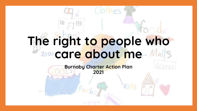# **The right to people who**  2005 care about me Ma

**Burnaby Charter Action Plan 2021**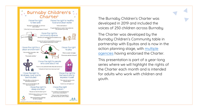

The Burnaby Children's Charter was developed in 2019 and included the voices of 250 children across Burnaby.

The Charter was developed by the Burnaby Children's Community table in partnership with Equitas and is now in the [action planning stage, with multiple](https://kidsinburnaby.ca/2019/11/burnaby-childrens-charter-endorsements/)  agencies having endorsed the Charter.

This presentation is part of a year-long series where we will highlight the rights of the Charter each month and is intended for adults who work with children and youth.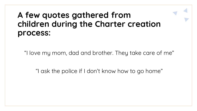#### **A few quotes gathered from children during the Charter creation process:**

"I love my mom, dad and brother. They take care of me"

"I ask the police if I don't know how to go home"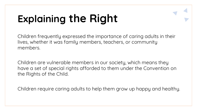## **Explaining the Right**

Children frequently expressed the importance of caring adults in their lives, whether it was family members, teachers, or community members.

Children are vulnerable members in our society, which means they have a set of special rights afforded to them under the Convention on the Rights of the Child.

Children require caring adults to help them grow up happy and healthy.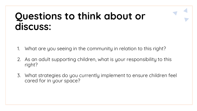## **Questions to think about or discuss:**

- 1. What are you seeing in the community in relation to this right?
- 2. As an adult supporting children, what is your responsibility to this right?
- 3. What strategies do you currently implement to ensure children feel cared for in your space?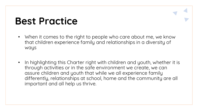## **Best Practice**

- When it comes to the right to people who care about me, we know that children experience family and relationships in a diversity of ways
- In highlighting this Charter right with children and youth, whether it is through activities or in the safe environment we create, we can assure children and youth that while we all experience family differently, relationships at school, home and the community are all important and all help us thrive.